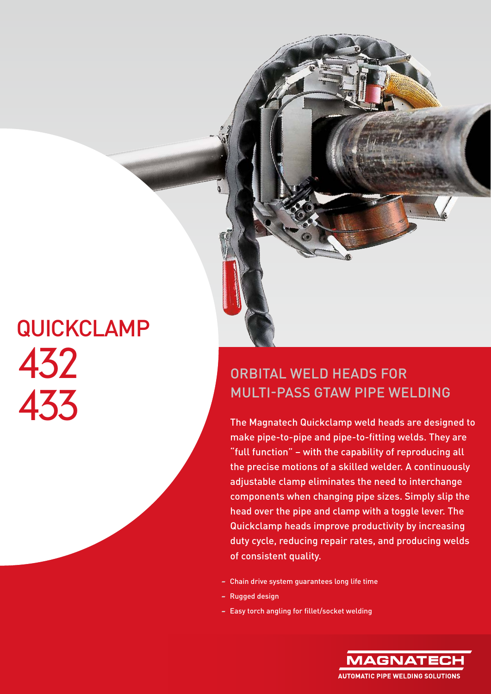## **QUICKCLAMP** 432 433

## ORBITAL WELD HEADS FOR MULTI-PASS GTAW PIPE WELDING

The Magnatech Quickclamp weld heads are designed to make pipe-to-pipe and pipe-to-fitting welds. They are "full function" – with the capability of reproducing all the precise motions of a skilled welder. A continuously adjustable clamp eliminates the need to interchange components when changing pipe sizes. Simply slip the head over the pipe and clamp with a toggle lever. The Quickclamp heads improve productivity by increasing duty cycle, reducing repair rates, and producing welds of consistent quality.

- Chain drive system guarantees long life time
- Rugged design
- Easy torch angling for fillet/socket welding

**MAGNATE AUTOMATIC PIPE WELDING SOLUTIONS**